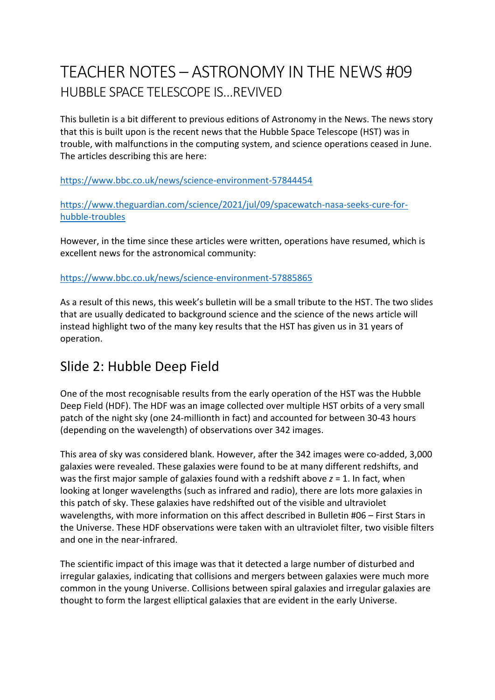# TEACHER NOTES – ASTRONOMY IN THE NEWS #09 HUBBLE SPACE TELESCOPE IS…REVIVED

This bulletin is a bit different to previous editions of Astronomy in the News. The news story that this is built upon is the recent news that the Hubble Space Telescope (HST) was in trouble, with malfunctions in the computing system, and science operations ceased in June. The articles describing this are here:

https://www.bbc.co.uk/news/science-environment-57844454

https://www.theguardian.com/science/2021/jul/09/spacewatch-nasa-seeks-cure-forhubble-troubles

However, in the time since these articles were written, operations have resumed, which is excellent news for the astronomical community:

#### https://www.bbc.co.uk/news/science-environment-57885865

As a result of this news, this week's bulletin will be a small tribute to the HST. The two slides that are usually dedicated to background science and the science of the news article will instead highlight two of the many key results that the HST has given us in 31 years of operation.

#### Slide 2: Hubble Deep Field

One of the most recognisable results from the early operation of the HST was the Hubble Deep Field (HDF). The HDF was an image collected over multiple HST orbits of a very small patch of the night sky (one 24-millionth in fact) and accounted for between 30-43 hours (depending on the wavelength) of observations over 342 images.

This area of sky was considered blank. However, after the 342 images were co-added, 3,000 galaxies were revealed. These galaxies were found to be at many different redshifts, and was the first major sample of galaxies found with a redshift above *z* = 1. In fact, when looking at longer wavelengths (such as infrared and radio), there are lots more galaxies in this patch of sky. These galaxies have redshifted out of the visible and ultraviolet wavelengths, with more information on this affect described in Bulletin #06 – First Stars in the Universe. These HDF observations were taken with an ultraviolet filter, two visible filters and one in the near-infrared.

The scientific impact of this image was that it detected a large number of disturbed and irregular galaxies, indicating that collisions and mergers between galaxies were much more common in the young Universe. Collisions between spiral galaxies and irregular galaxies are thought to form the largest elliptical galaxies that are evident in the early Universe.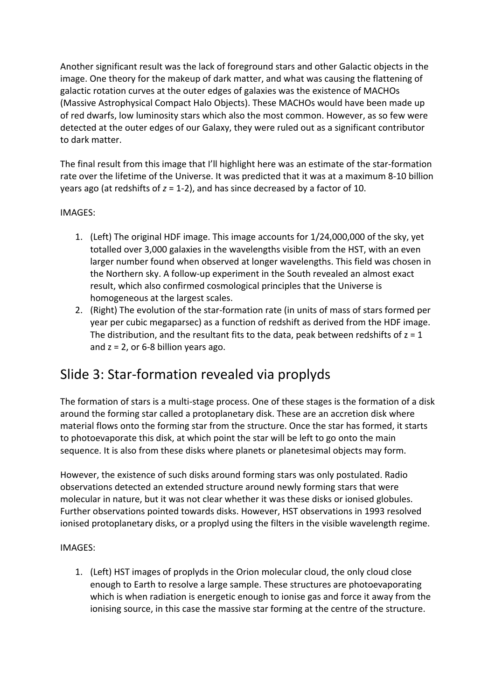Another significant result was the lack of foreground stars and other Galactic objects in the image. One theory for the makeup of dark matter, and what was causing the flattening of galactic rotation curves at the outer edges of galaxies was the existence of MACHOs (Massive Astrophysical Compact Halo Objects). These MACHOs would have been made up of red dwarfs, low luminosity stars which also the most common. However, as so few were detected at the outer edges of our Galaxy, they were ruled out as a significant contributor to dark matter.

The final result from this image that I'll highlight here was an estimate of the star-formation rate over the lifetime of the Universe. It was predicted that it was at a maximum 8-10 billion years ago (at redshifts of *z* = 1-2), and has since decreased by a factor of 10.

#### IMAGES:

- 1. (Left) The original HDF image. This image accounts for 1/24,000,000 of the sky, yet totalled over 3,000 galaxies in the wavelengths visible from the HST, with an even larger number found when observed at longer wavelengths. This field was chosen in the Northern sky. A follow-up experiment in the South revealed an almost exact result, which also confirmed cosmological principles that the Universe is homogeneous at the largest scales.
- 2. (Right) The evolution of the star-formation rate (in units of mass of stars formed per year per cubic megaparsec) as a function of redshift as derived from the HDF image. The distribution, and the resultant fits to the data, peak between redshifts of  $z = 1$ and  $z = 2$ , or 6-8 billion years ago.

### Slide 3: Star-formation revealed via proplyds

The formation of stars is a multi-stage process. One of these stages is the formation of a disk around the forming star called a protoplanetary disk. These are an accretion disk where material flows onto the forming star from the structure. Once the star has formed, it starts to photoevaporate this disk, at which point the star will be left to go onto the main sequence. It is also from these disks where planets or planetesimal objects may form.

However, the existence of such disks around forming stars was only postulated. Radio observations detected an extended structure around newly forming stars that were molecular in nature, but it was not clear whether it was these disks or ionised globules. Further observations pointed towards disks. However, HST observations in 1993 resolved ionised protoplanetary disks, or a proplyd using the filters in the visible wavelength regime.

#### IMAGES:

1. (Left) HST images of proplyds in the Orion molecular cloud, the only cloud close enough to Earth to resolve a large sample. These structures are photoevaporating which is when radiation is energetic enough to ionise gas and force it away from the ionising source, in this case the massive star forming at the centre of the structure.